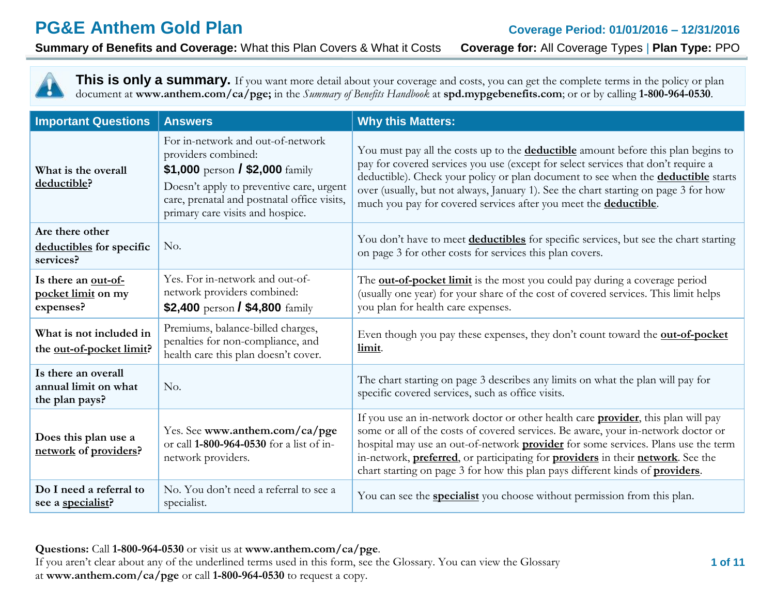**Summary of Benefits and Coverage:** What this Plan Covers & What it Costs **Coverage for:** All Coverage Types | **Plan Type:** PPO

This is only a summary. If you want more detail about your coverage and costs, you can get the complete terms in the policy or plan document at **[www.anthem.com/ca/pge;](http://www.anthem.com/ca/pge)** in the *Summary of Benefits Handbook* at **spd.mypgebenefits.com**; or or by calling **1-800-964-0530**.

| <b>Important Questions</b>                                    | <b>Answers</b>                                                                                                                                                                                                             | <b>Why this Matters:</b>                                                                                                                                                                                                                                                                                                                                                                                                                               |
|---------------------------------------------------------------|----------------------------------------------------------------------------------------------------------------------------------------------------------------------------------------------------------------------------|--------------------------------------------------------------------------------------------------------------------------------------------------------------------------------------------------------------------------------------------------------------------------------------------------------------------------------------------------------------------------------------------------------------------------------------------------------|
| What is the overall<br>deductible?                            | For in-network and out-of-network<br>providers combined:<br>\$1,000 person / \$2,000 family<br>Doesn't apply to preventive care, urgent<br>care, prenatal and postnatal office visits,<br>primary care visits and hospice. | You must pay all the costs up to the <b>deductible</b> amount before this plan begins to<br>pay for covered services you use (except for select services that don't require a<br>deductible). Check your policy or plan document to see when the <b>deductible</b> starts<br>over (usually, but not always, January 1). See the chart starting on page 3 for how<br>much you pay for covered services after you meet the <b>deductible</b> .           |
| Are there other<br>deductibles for specific<br>services?      | No.                                                                                                                                                                                                                        | You don't have to meet <b>deductibles</b> for specific services, but see the chart starting<br>on page 3 for other costs for services this plan covers.                                                                                                                                                                                                                                                                                                |
| Is there an out-of-<br>pocket limit on my<br>expenses?        | Yes. For in-network and out-of-<br>network providers combined:<br>\$2,400 person / \$4,800 $\frac{2}{3}$                                                                                                                   | The <b>out-of-pocket limit</b> is the most you could pay during a coverage period<br>(usually one year) for your share of the cost of covered services. This limit helps<br>you plan for health care expenses.                                                                                                                                                                                                                                         |
| What is not included in<br>the <u>out-of-pocket limit</u> ?   | Premiums, balance-billed charges,<br>penalties for non-compliance, and<br>health care this plan doesn't cover.                                                                                                             | Even though you pay these expenses, they don't count toward the <b>out-of-pocket</b><br>limit.                                                                                                                                                                                                                                                                                                                                                         |
| Is there an overall<br>annual limit on what<br>the plan pays? | No.                                                                                                                                                                                                                        | The chart starting on page 3 describes any limits on what the plan will pay for<br>specific covered services, such as office visits.                                                                                                                                                                                                                                                                                                                   |
| Does this plan use a<br>network of providers?                 | Yes. See www.anthem.com/ca/pge<br>or call 1-800-964-0530 for a list of in-<br>network providers.                                                                                                                           | If you use an in-network doctor or other health care <b>provider</b> , this plan will pay<br>some or all of the costs of covered services. Be aware, your in-network doctor or<br>hospital may use an out-of-network <b>provider</b> for some services. Plans use the term<br>in-network, preferred, or participating for providers in their network. See the<br>chart starting on page 3 for how this plan pays different kinds of <b>providers</b> . |
| Do I need a referral to<br>see a specialist?                  | No. You don't need a referral to see a<br>specialist.                                                                                                                                                                      | You can see the <b>specialist</b> you choose without permission from this plan.                                                                                                                                                                                                                                                                                                                                                                        |

**Questions:** Call **1-800-964-0530** or visit us at **www.anthem.com/ca/pge**. If you aren't clear about any of the underlined terms used in this form, see the Glossary. You can view the Glossary at **www.anthem.com/ca/pge** or call **1-800-964-0530** to request a copy.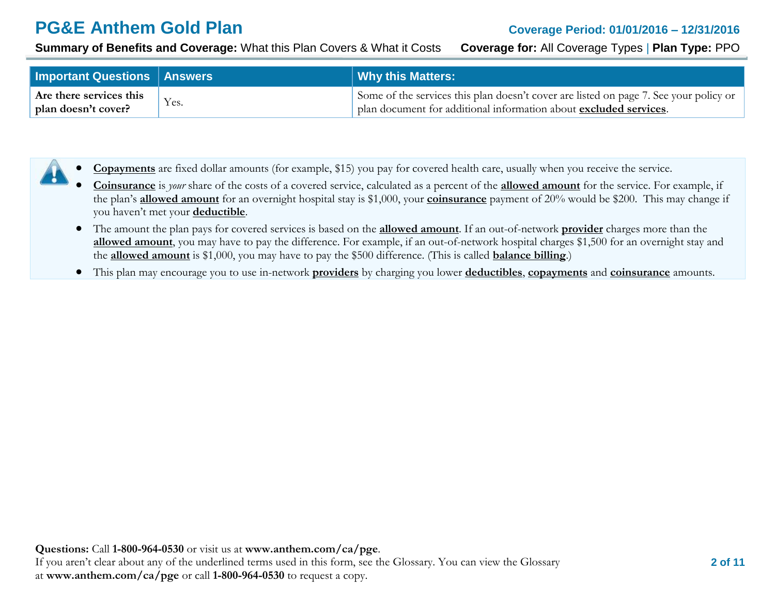**Summary of Benefits and Coverage:** What this Plan Covers & What it Costs **Coverage for:** All Coverage Types | **Plan Type:** PPO

| <b>Important Questions   Answers</b> |      | <b>Why this Matters:</b>                                                              |
|--------------------------------------|------|---------------------------------------------------------------------------------------|
| Are there services this              | Yes. | Some of the services this plan doesn't cover are listed on page 7. See your policy or |
| plan doesn't cover?                  |      | plan document for additional information about excluded services.                     |

- **Copayments** are fixed dollar amounts (for example, \$15) you pay for covered health care, usually when you receive the service.
	- **Coinsurance** is *your* share of the costs of a covered service, calculated as a percent of the **allowed amount** for the service. For example, if the plan's **allowed amount** for an overnight hospital stay is \$1,000, your **coinsurance** payment of 20% would be \$200. This may change if you haven't met your **deductible**.
	- The amount the plan pays for covered services is based on the **allowed amount**. If an out-of-network **provider** charges more than the **allowed amount**, you may have to pay the difference. For example, if an out-of-network hospital charges \$1,500 for an overnight stay and the **allowed amount** is \$1,000, you may have to pay the \$500 difference. (This is called **balance billing**.)
	- This plan may encourage you to use in-network **providers** by charging you lower **deductibles**, **copayments** and **coinsurance** amounts.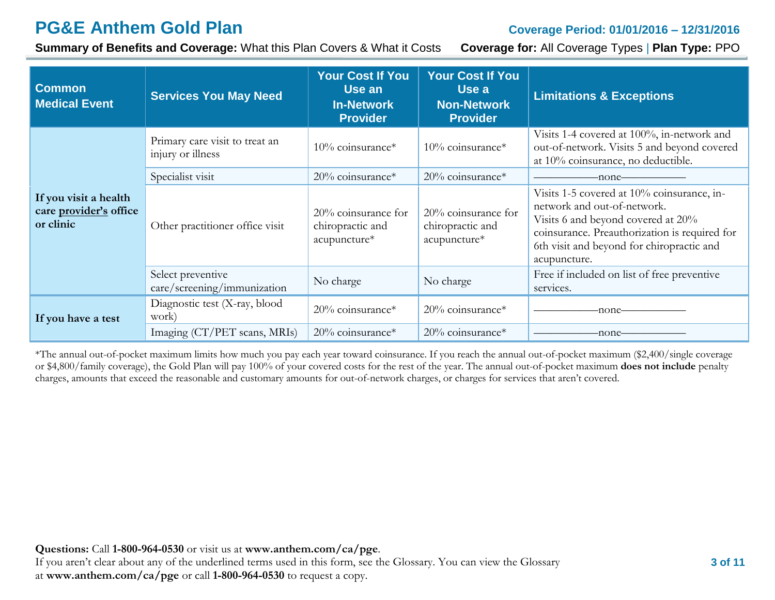**Summary of Benefits and Coverage:** What this Plan Covers & What it Costs **Coverage for:** All Coverage Types | **Plan Type:** PPO

| <b>Common</b><br><b>Medical Event</b>                        | <b>Services You May Need</b>                        | <b>Your Cost If You</b><br>Use an<br><b>In-Network</b><br><b>Provider</b>                                                | <b>Your Cost If You</b><br>Use a<br><b>Non-Network</b><br><b>Provider</b> | <b>Limitations &amp; Exceptions</b>                                                                                                                                                                                           |
|--------------------------------------------------------------|-----------------------------------------------------|--------------------------------------------------------------------------------------------------------------------------|---------------------------------------------------------------------------|-------------------------------------------------------------------------------------------------------------------------------------------------------------------------------------------------------------------------------|
|                                                              | Primary care visit to treat an<br>injury or illness | 10% coinsurance*                                                                                                         | $10\%$ coinsurance*                                                       | Visits 1-4 covered at 100%, in-network and<br>out-of-network. Visits 5 and beyond covered<br>at 10% coinsurance, no deductible.                                                                                               |
|                                                              | Specialist visit<br>$20\%$ coinsurance*             |                                                                                                                          | $20\%$ coinsurance*                                                       | -none-                                                                                                                                                                                                                        |
| If you visit a health<br>care provider's office<br>or clinic | Other practitioner office visit                     | $20\%$ coinsurance for<br>$20\%$ coinsurance for<br>chiropractic and<br>chiropractic and<br>acupuncture*<br>acupuncture* |                                                                           | Visits 1-5 covered at 10% coinsurance, in-<br>network and out-of-network.<br>Visits 6 and beyond covered at 20%<br>coinsurance. Preauthorization is required for<br>6th visit and beyond for chiropractic and<br>acupuncture. |
|                                                              | Select preventive<br>care/screening/immunization    | No charge                                                                                                                | No charge                                                                 | Free if included on list of free preventive<br>services.                                                                                                                                                                      |
| If you have a test                                           | Diagnostic test (X-ray, blood<br>work)              | 20% coinsurance*                                                                                                         | $20\%$ coinsurance*                                                       | -none-                                                                                                                                                                                                                        |
|                                                              | Imaging (CT/PET scans, MRIs)                        | 20% coinsurance*                                                                                                         | $20\%$ coinsurance*                                                       | -none-                                                                                                                                                                                                                        |

\*The annual out-of-pocket maximum limits how much you pay each year toward coinsurance. If you reach the annual out-of-pocket maximum (\$2,400/single coverage or \$4,800/family coverage), the Gold Plan will pay 100% of your covered costs for the rest of the year. The annual out-of-pocket maximum **does not include** penalty charges, amounts that exceed the reasonable and customary amounts for out-of-network charges, or charges for services that aren't covered.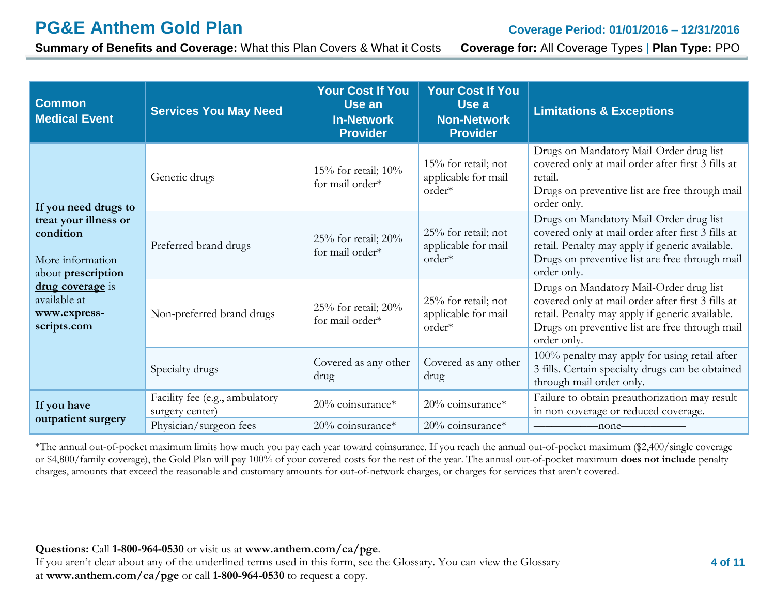**Summary of Benefits and Coverage:** What this Plan Covers & What it Costs **Coverage for:** All Coverage Types | **Plan Type:** PPO

| <b>Common</b><br><b>Medical Event</b>                                               | <b>Services You May Need</b>                      | <b>Your Cost If You</b><br>Use an<br><b>In-Network</b><br><b>Provider</b> | <b>Your Cost If You</b><br>Use a<br><b>Non-Network</b><br><b>Provider</b> | <b>Limitations &amp; Exceptions</b>                                                                                                                                                                              |
|-------------------------------------------------------------------------------------|---------------------------------------------------|---------------------------------------------------------------------------|---------------------------------------------------------------------------|------------------------------------------------------------------------------------------------------------------------------------------------------------------------------------------------------------------|
| If you need drugs to                                                                | Generic drugs                                     | 15% for retail; 10%<br>for mail order*                                    | $15%$ for retail; not<br>applicable for mail<br>order*                    | Drugs on Mandatory Mail-Order drug list<br>covered only at mail order after first 3 fills at<br>retail.<br>Drugs on preventive list are free through mail<br>order only.                                         |
| treat your illness or<br>condition<br>More information<br>about <b>prescription</b> | Preferred brand drugs                             | 25% for retail; $20\%$<br>for mail order*                                 | 25% for retail; not<br>applicable for mail<br>order*                      | Drugs on Mandatory Mail-Order drug list<br>covered only at mail order after first 3 fills at<br>retail. Penalty may apply if generic available.<br>Drugs on preventive list are free through mail<br>order only. |
| drug coverage is<br>available at<br>www.express-<br>scripts.com                     | Non-preferred brand drugs                         | 25% for retail; $20\%$<br>for mail order*                                 | 25% for retail; not<br>applicable for mail<br>order*                      | Drugs on Mandatory Mail-Order drug list<br>covered only at mail order after first 3 fills at<br>retail. Penalty may apply if generic available.<br>Drugs on preventive list are free through mail<br>order only. |
|                                                                                     | Specialty drugs                                   | Covered as any other<br>drug                                              | Covered as any other<br>drug                                              | 100% penalty may apply for using retail after<br>3 fills. Certain specialty drugs can be obtained<br>through mail order only.                                                                                    |
| If you have                                                                         | Facility fee (e.g., ambulatory<br>surgery center) | 20% coinsurance*                                                          | 20% coinsurance*                                                          | Failure to obtain preauthorization may result<br>in non-coverage or reduced coverage.                                                                                                                            |
| outpatient surgery                                                                  | Physician/surgeon fees                            | 20% coinsurance*                                                          | 20% coinsurance*                                                          | $\overline{\phantom{a}}$ -none $\overline{\phantom{a}}$                                                                                                                                                          |

\*The annual out-of-pocket maximum limits how much you pay each year toward coinsurance. If you reach the annual out-of-pocket maximum (\$2,400/single coverage or \$4,800/family coverage), the Gold Plan will pay 100% of your covered costs for the rest of the year. The annual out-of-pocket maximum **does not include** penalty charges, amounts that exceed the reasonable and customary amounts for out-of-network charges, or charges for services that aren't covered.

**Questions:** Call **1-800-964-0530** or visit us at **www.anthem.com/ca/pge**.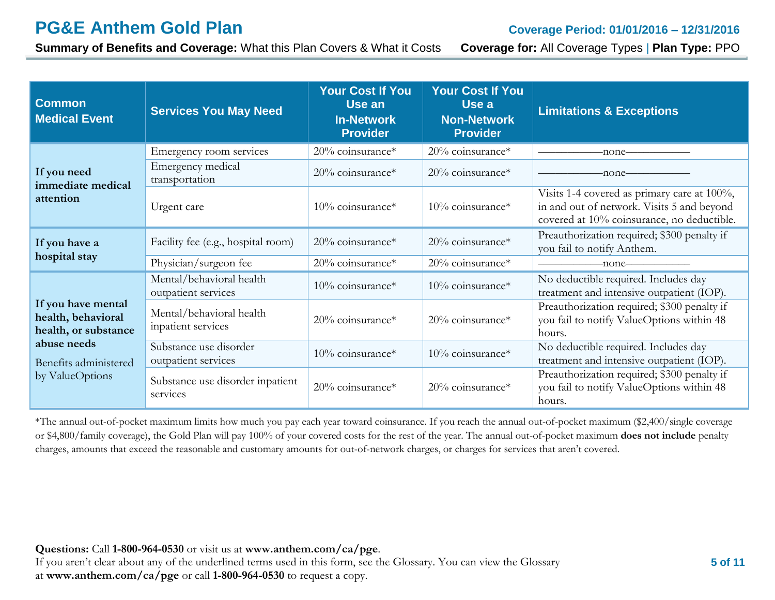**Summary of Benefits and Coverage:** What this Plan Covers & What it Costs **Coverage for:** All Coverage Types | **Plan Type:** PPO

| <b>Common</b><br><b>Medical Event</b>                            | <b>Services You May Need</b>                                      | <b>Your Cost If You</b><br>Use an<br><b>In-Network</b><br><b>Provider</b> | <b>Your Cost If You</b><br>Use a<br><b>Non-Network</b><br><b>Provider</b>         | <b>Limitations &amp; Exceptions</b>                                                                                                     |
|------------------------------------------------------------------|-------------------------------------------------------------------|---------------------------------------------------------------------------|-----------------------------------------------------------------------------------|-----------------------------------------------------------------------------------------------------------------------------------------|
|                                                                  | Emergency room services                                           | 20% coinsurance*                                                          | $20\%$ coinsurance*                                                               | -none-                                                                                                                                  |
| If you need<br>immediate medical                                 | Emergency medical<br>transportation                               | $20\%$ coinsurance*                                                       | $20\%$ coinsurance*                                                               | -none-                                                                                                                                  |
| attention                                                        | Urgent care                                                       | $10\%$ coinsurance*                                                       | $10\%$ coinsurance*                                                               | Visits 1-4 covered as primary care at 100%,<br>in and out of network. Visits 5 and beyond<br>covered at 10% coinsurance, no deductible. |
| If you have a                                                    | Facility fee (e.g., hospital room)                                | $20\%$ coinsurance*                                                       | 20% coinsurance*                                                                  | Preauthorization required; \$300 penalty if<br>you fail to notify Anthem.                                                               |
| hospital stay                                                    | Physician/surgeon fee                                             | $20\%$ coinsurance*                                                       | $20\%$ coinsurance*                                                               | -none-                                                                                                                                  |
| If you have mental<br>health, behavioral<br>health, or substance | Mental/behavioral health<br>outpatient services                   | $10\%$ coinsurance*                                                       | $10\%$ coinsurance*                                                               | No deductible required. Includes day<br>treatment and intensive outpatient (IOP).                                                       |
|                                                                  | Mental/behavioral health<br>inpatient services                    | 20% coinsurance*                                                          | 20% coinsurance*                                                                  | Preauthorization required; \$300 penalty if<br>you fail to notify ValueOptions within 48<br>hours.                                      |
| abuse needs<br>Benefits administered                             | Substance use disorder<br>10% coinsurance*<br>outpatient services | 10% coinsurance*                                                          | No deductible required. Includes day<br>treatment and intensive outpatient (IOP). |                                                                                                                                         |
| by ValueOptions                                                  | Substance use disorder inpatient<br>services                      | 20% coinsurance*                                                          | $20\%$ coinsurance*                                                               | Preauthorization required; \$300 penalty if<br>you fail to notify ValueOptions within 48<br>hours.                                      |

\*The annual out-of-pocket maximum limits how much you pay each year toward coinsurance. If you reach the annual out-of-pocket maximum (\$2,400/single coverage or \$4,800/family coverage), the Gold Plan will pay 100% of your covered costs for the rest of the year. The annual out-of-pocket maximum **does not include** penalty charges, amounts that exceed the reasonable and customary amounts for out-of-network charges, or charges for services that aren't covered.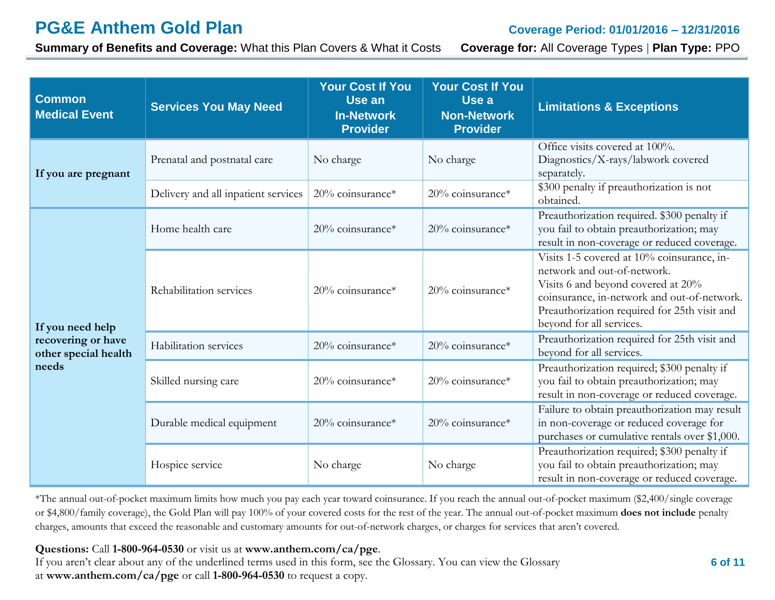**Summary of Benefits and Coverage:** What this Plan Covers & What it Costs **Coverage for:** All Coverage Types | **Plan Type:** PPO

| <b>Common</b><br><b>Medical Event</b>      | <b>Services You May Need</b>        | <b>Your Cost If You</b><br>Use an<br><b>In-Network</b><br><b>Provider</b> | <b>Your Cost If You</b><br>Use a<br><b>Non-Network</b><br><b>Provider</b> | <b>Limitations &amp; Exceptions</b>                                                                                                                                                                                                        |
|--------------------------------------------|-------------------------------------|---------------------------------------------------------------------------|---------------------------------------------------------------------------|--------------------------------------------------------------------------------------------------------------------------------------------------------------------------------------------------------------------------------------------|
| If you are pregnant                        | Prenatal and postnatal care         | No charge                                                                 | No charge                                                                 | Office visits covered at 100%.<br>Diagnostics/X-rays/labwork covered<br>separately.                                                                                                                                                        |
|                                            | Delivery and all inpatient services | 20% coinsurance*                                                          | 20% coinsurance*                                                          | \$300 penalty if preauthorization is not<br>obtained.                                                                                                                                                                                      |
|                                            | Home health care                    | $20\%$ coinsurance*                                                       | 20% coinsurance*                                                          | Preauthorization required. \$300 penalty if<br>you fail to obtain preauthorization; may<br>result in non-coverage or reduced coverage.                                                                                                     |
| If you need help                           | Rehabilitation services             | $20\%$ coinsurance*                                                       | 20% coinsurance*                                                          | Visits 1-5 covered at 10% coinsurance, in-<br>network and out-of-network.<br>Visits 6 and beyond covered at 20%<br>coinsurance, in-network and out-of-network.<br>Preauthorization required for 25th visit and<br>beyond for all services. |
| recovering or have<br>other special health | Habilitation services               | 20% coinsurance*                                                          | 20% coinsurance*                                                          | Preauthorization required for 25th visit and<br>beyond for all services.                                                                                                                                                                   |
| needs                                      | Skilled nursing care                | 20% coinsurance*                                                          | 20% coinsurance*                                                          | Preauthorization required; \$300 penalty if<br>you fail to obtain preauthorization; may<br>result in non-coverage or reduced coverage.                                                                                                     |
|                                            | Durable medical equipment           | 20% coinsurance*                                                          | 20% coinsurance*                                                          | Failure to obtain preauthorization may result<br>in non-coverage or reduced coverage for<br>purchases or cumulative rentals over \$1,000.                                                                                                  |
|                                            | Hospice service                     | No charge                                                                 | No charge                                                                 | Preauthorization required; \$300 penalty if<br>you fail to obtain preauthorization; may<br>result in non-coverage or reduced coverage.                                                                                                     |

\*The annual out-of-pocket maximum limits how much you pay each year toward coinsurance. If you reach the annual out-of-pocket maximum (\$2,400/single coverage or \$4,800/family coverage), the Gold Plan will pay 100% of your covered costs for the rest of the year. The annual out-of-pocket maximum **does not include** penalty charges, amounts that exceed the reasonable and customary amounts for out-of-network charges, or charges for services that aren't covered.

**Questions:** Call **1-800-964-0530** or visit us at **www.anthem.com/ca/pge**.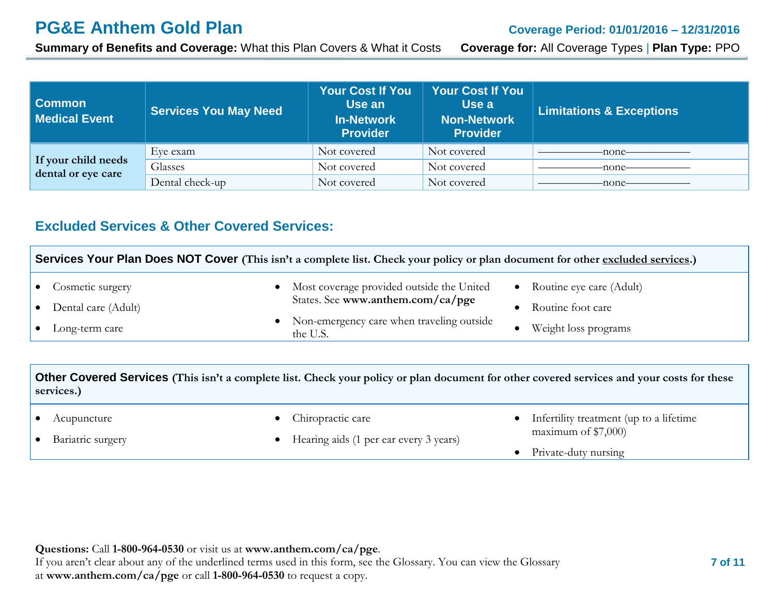**Summary of Benefits and Coverage:** What this Plan Covers & What it Costs **Coverage for:** All Coverage Types | **Plan Type:** PPO

| <b>Common</b><br><b>Medical Event</b>     | <b>Services You May Need</b> | <b>Your Cost If You</b><br>Use an<br><b>In-Network</b><br><b>Provider</b> | <b>Your Cost If You</b><br>Use a<br><b>Non-Network</b><br><b>Provider</b> | <b>Limitations &amp; Exceptions</b> |
|-------------------------------------------|------------------------------|---------------------------------------------------------------------------|---------------------------------------------------------------------------|-------------------------------------|
|                                           | Eye exam                     | Not covered                                                               | Not covered                                                               | -none-                              |
| If your child needs<br>dental or eye care | Glasses                      | Not covered                                                               | Not covered                                                               | -none-                              |
|                                           | Dental check-up              | Not covered                                                               | Not covered                                                               | -none-                              |

#### **Excluded Services & Other Covered Services:**

| Services Your Plan Does NOT Cover (This isn't a complete list. Check your policy or plan document for other excluded services.) |                          |  |                                                         |  |                            |
|---------------------------------------------------------------------------------------------------------------------------------|--------------------------|--|---------------------------------------------------------|--|----------------------------|
|                                                                                                                                 | • Cosmetic surgery       |  | • Most coverage provided outside the United             |  | • Routine eye care (Adult) |
|                                                                                                                                 | • Dental care (Adult)    |  | States. See www.anthem.com/ca/pge                       |  | Routine foot care          |
|                                                                                                                                 | $\bullet$ Long-term care |  | • Non-emergency care when traveling outside<br>the U.S. |  | Weight loss programs       |

**Other Covered Services (This isn't a complete list. Check your policy or plan document for other covered services and your costs for these services.)**

|  | Acupuncture |
|--|-------------|
|--|-------------|

• Bariatric surgery

- Chiropractic care
- Hearing aids (1 per ear every 3 years)
- Infertility treatment (up to a lifetime maximum of \$7,000)
- Private-duty nursing

**Questions:** Call **1-800-964-0530** or visit us at **www.anthem.com/ca/pge**. If you aren't clear about any of the underlined terms used in this form, see the Glossary. You can view the Glossary at **www.anthem.com/ca/pge** or call **1-800-964-0530** to request a copy.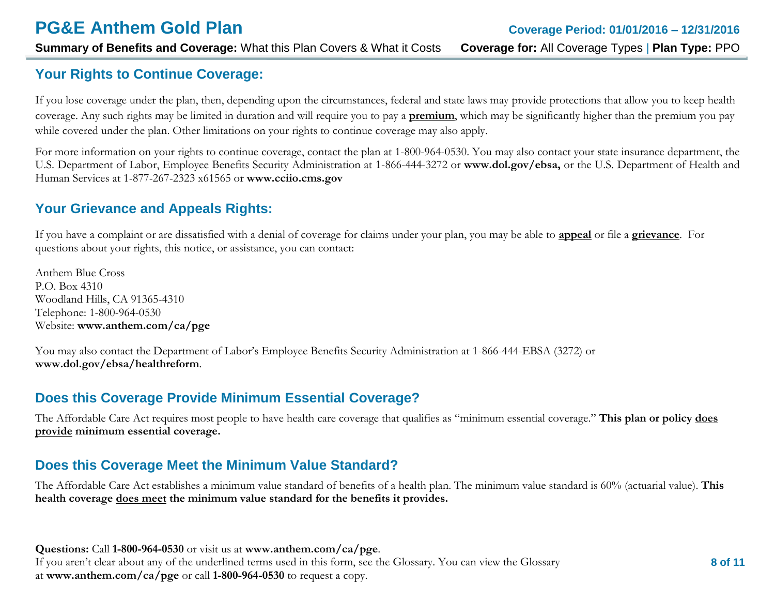## **Your Rights to Continue Coverage:**

If you lose coverage under the plan, then, depending upon the circumstances, federal and state laws may provide protections that allow you to keep health coverage. Any such rights may be limited in duration and will require you to pay a **premium**, which may be significantly higher than the premium you pay while covered under the plan. Other limitations on your rights to continue coverage may also apply.

For more information on your rights to continue coverage, contact the plan at 1-800-964-0530. You may also contact your state insurance department, the U.S. Department of Labor, Employee Benefits Security Administration at 1-866-444-3272 or **[www.dol.gov/ebsa,](http://www.dol.gov/ebsa)** or the U.S. Department of Health and Human Services at 1-877-267-2323 x61565 or **[www.cciio.cms.gov](http://www.cciio.cms.gov/)**

## **Your Grievance and Appeals Rights:**

If you have a complaint or are dissatisfied with a denial of coverage for claims under your plan, you may be able to **appeal** or file a **grievance**. For questions about your rights, this notice, or assistance, you can contact:

Anthem Blue Cross P.O. Box 4310 Woodland Hills, CA 91365-4310 Telephone: 1-800-964-0530 Website: **[www.anthem.com/ca/pge](http://www.anthem.com/ca/pge)**

You may also contact the Department of Labor's Employee Benefits Security Administration at 1-866-444-EBSA (3272) or **[www.dol.gov/ebsa/healthreform](http://www.dol.gov/ebsa/healthreform)**.

## **Does this Coverage Provide Minimum Essential Coverage?**

The Affordable Care Act requires most people to have health care coverage that qualifies as "minimum essential coverage." **This plan or policy does provide minimum essential coverage.** 

## **Does this Coverage Meet the Minimum Value Standard?**

The Affordable Care Act establishes a minimum value standard of benefits of a health plan. The minimum value standard is 60% (actuarial value). **This health coverage does meet the minimum value standard for the benefits it provides.**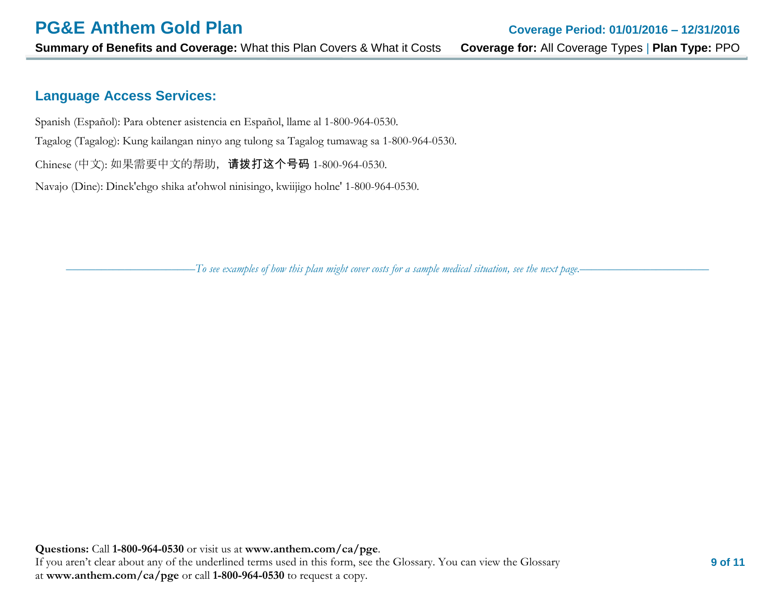#### **Language Access Services:**

Spanish (Español): Para obtener asistencia en Español, llame al 1-800-964-0530.

Tagalog (Tagalog): Kung kailangan ninyo ang tulong sa Tagalog tumawag sa 1-800-964-0530.

Chinese (中文): 如果需要中文的帮助, 请拨打这个号码 1-800-964-0530.

Navajo (Dine): Dinek'ehgo shika at'ohwol ninisingo, kwiijigo holne' 1-800-964-0530.

––––––––––––––––––––––*To see examples of how this plan might cover costs for a sample medical situation, see the next page.–––––––––––*–––––––––––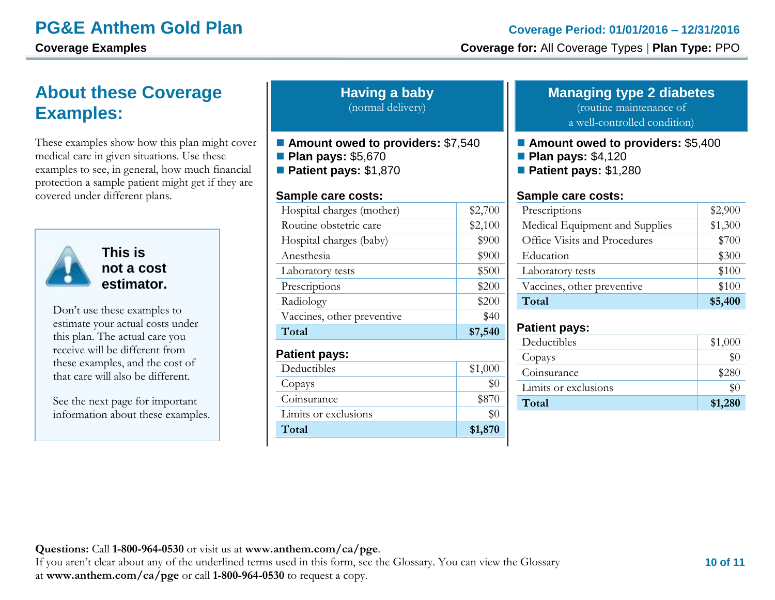# **About these Coverage Examples:**

These examples show how this plan might cover medical care in given situations. Use these examples to see, in general, how much financial protection a sample patient might get if they are covered under different plans.



**This is not a cost estimator.** 

Don't use these examples to estimate your actual costs under this plan. The actual care you receive will be different from these examples, and the cost of that care will also be different.

See the next page for important information about these examples.

| <b>Having a baby</b> |  |
|----------------------|--|
| (normal delivery)    |  |

- **Amount owed to providers:** \$7,540
- **Plan pays: \$5,670 Patient pays:** \$1,870

## **Sample care costs:**

| Sample care costs:         |         |
|----------------------------|---------|
| Hospital charges (mother)  | \$2,700 |
| Routine obstetric care     | \$2,100 |
| Hospital charges (baby)    | \$900   |
| Anesthesia                 | \$900   |
| Laboratory tests           | \$500   |
| Prescriptions              | \$200   |
| Radiology                  | \$200   |
| Vaccines, other preventive | \$40    |
| Total                      | \$7,540 |
| <b>Patient pays:</b>       |         |
| Deductibles                | \$1,000 |
| Copays                     | $\$0$   |
| Coinsurance                | \$870   |
| Limits or exclusions       | \$0     |
| Total                      | \$1,870 |

#### **Managing type 2 diabetes**

(routine maintenance of

a well-controlled condition)

- **Amount owed to providers:** \$5,400
- **Plan pays: \$4,120**
- **Patient pays:** \$1,280

#### **Sample care costs:**

| Prescriptions                  | \$2,900 |
|--------------------------------|---------|
| Medical Equipment and Supplies | \$1,300 |
| Office Visits and Procedures   | \$700   |
| Education                      | \$300   |
| Laboratory tests               | \$100   |
| Vaccines, other preventive     | \$100   |
| Total                          | \$5,400 |

#### **Patient pays:**

| Deductibles          | \$1,000 |
|----------------------|---------|
| Copays               | $\$0$   |
| Coinsurance          | \$280   |
| Limits or exclusions | $\$0$   |
| Total                | \$1,280 |
|                      |         |

#### **Questions:** Call **1-800-964-0530** or visit us at **www.anthem.com/ca/pge**.